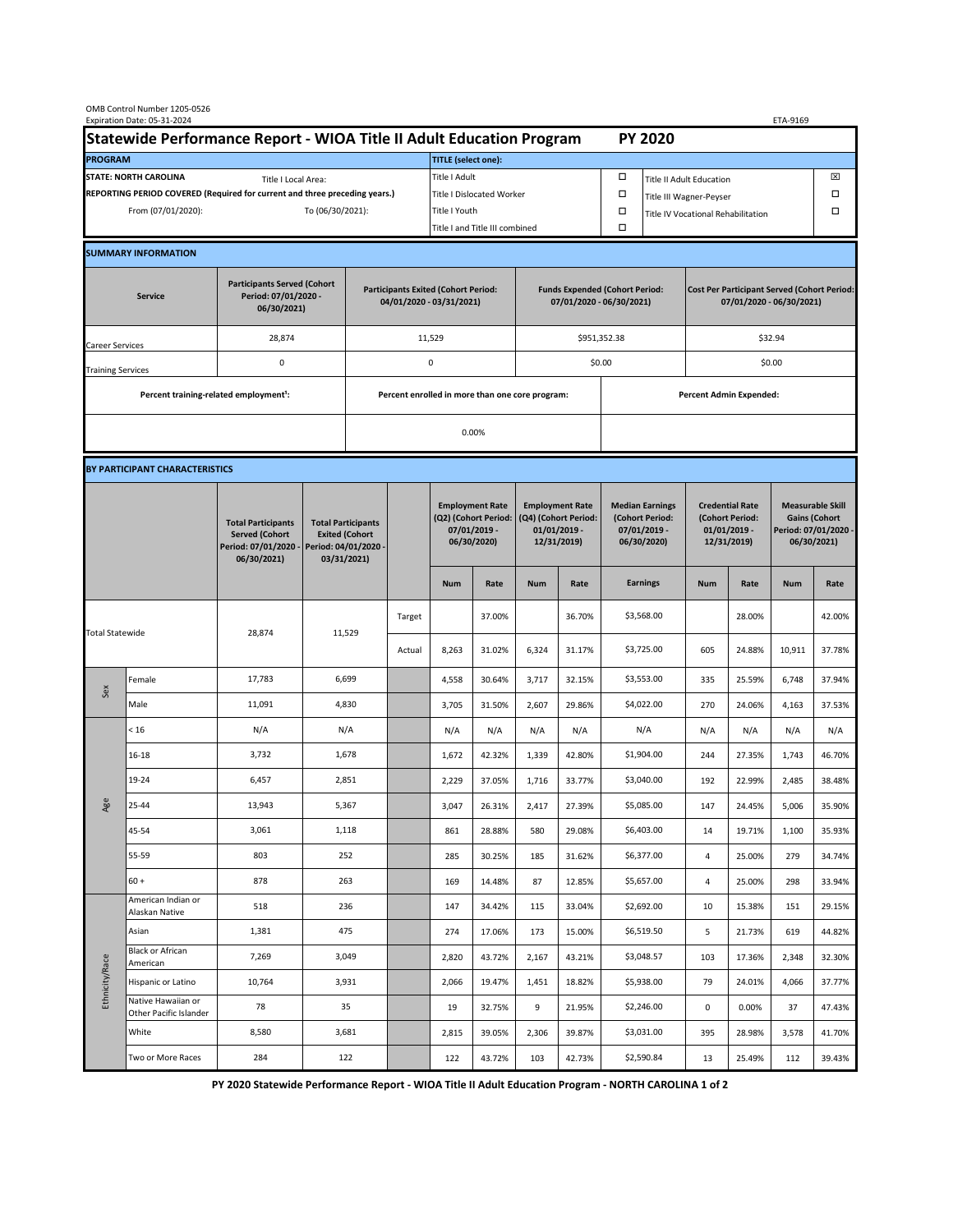| OMB Control Number 1205-0526<br>Expiration Date: 05-31-2024<br>ETA-9169                     |                                                    |                                                                                           |                                                                                           |                                                                        |                                                 |                                                                               |        |                                                                                 |                                      |                                                                            |                                                                                |                                                                            |        |                                                                                        |        |  |
|---------------------------------------------------------------------------------------------|----------------------------------------------------|-------------------------------------------------------------------------------------------|-------------------------------------------------------------------------------------------|------------------------------------------------------------------------|-------------------------------------------------|-------------------------------------------------------------------------------|--------|---------------------------------------------------------------------------------|--------------------------------------|----------------------------------------------------------------------------|--------------------------------------------------------------------------------|----------------------------------------------------------------------------|--------|----------------------------------------------------------------------------------------|--------|--|
| Statewide Performance Report - WIOA Title II Adult Education Program                        |                                                    |                                                                                           |                                                                                           |                                                                        |                                                 |                                                                               |        |                                                                                 |                                      |                                                                            | <b>PY 2020</b>                                                                 |                                                                            |        |                                                                                        |        |  |
| <b>PROGRAM</b>                                                                              |                                                    |                                                                                           |                                                                                           |                                                                        |                                                 | <b>TITLE (select one):</b>                                                    |        |                                                                                 |                                      |                                                                            |                                                                                |                                                                            |        |                                                                                        |        |  |
| <b>STATE: NORTH CAROLINA</b><br>Title I Local Area:                                         |                                                    |                                                                                           |                                                                                           |                                                                        | Title I Adult                                   |                                                                               |        |                                                                                 | □<br><b>Title II Adult Education</b> |                                                                            |                                                                                |                                                                            |        | ⊠                                                                                      |        |  |
| REPORTING PERIOD COVERED (Required for current and three preceding years.)                  |                                                    |                                                                                           |                                                                                           |                                                                        | <b>Title I Dislocated Worker</b>                |                                                                               |        |                                                                                 | $\Box$                               | $\Box$<br>Title III Wagner-Peyser                                          |                                                                                |                                                                            |        |                                                                                        |        |  |
| From (07/01/2020):<br>To (06/30/2021):                                                      |                                                    |                                                                                           |                                                                                           | Title I Youth                                                          |                                                 |                                                                               | $\Box$ |                                                                                 |                                      |                                                                            | Title IV Vocational Rehabilitation                                             |                                                                            |        | $\Box$                                                                                 |        |  |
|                                                                                             |                                                    |                                                                                           |                                                                                           |                                                                        |                                                 | Title I and Title III combined                                                |        |                                                                                 |                                      |                                                                            |                                                                                |                                                                            |        |                                                                                        |        |  |
|                                                                                             | <b>SUMMARY INFORMATION</b>                         |                                                                                           |                                                                                           |                                                                        |                                                 |                                                                               |        |                                                                                 |                                      |                                                                            |                                                                                |                                                                            |        |                                                                                        |        |  |
| <b>Participants Served (Cohort</b><br>Period: 07/01/2020 -<br><b>Service</b><br>06/30/2021) |                                                    |                                                                                           |                                                                                           | <b>Participants Exited (Cohort Period:</b><br>04/01/2020 - 03/31/2021) |                                                 |                                                                               |        | <b>Funds Expended (Cohort Period:</b><br>07/01/2020 - 06/30/2021)               |                                      |                                                                            | <b>Cost Per Participant Served (Cohort Period:</b><br>07/01/2020 - 06/30/2021) |                                                                            |        |                                                                                        |        |  |
| Career Services                                                                             |                                                    | 28,874                                                                                    |                                                                                           |                                                                        | 11,529                                          |                                                                               |        |                                                                                 | \$951,352.38                         |                                                                            | \$32.94                                                                        |                                                                            |        |                                                                                        |        |  |
| <b>Training Services</b>                                                                    |                                                    | $\mathsf 0$                                                                               | 0                                                                                         |                                                                        |                                                 |                                                                               |        |                                                                                 | \$0.00                               |                                                                            | \$0.00                                                                         |                                                                            |        |                                                                                        |        |  |
|                                                                                             | Percent training-related employment <sup>1</sup> : |                                                                                           |                                                                                           |                                                                        | Percent enrolled in more than one core program: |                                                                               |        |                                                                                 |                                      | <b>Percent Admin Expended:</b>                                             |                                                                                |                                                                            |        |                                                                                        |        |  |
|                                                                                             |                                                    |                                                                                           |                                                                                           | 0.00%                                                                  |                                                 |                                                                               |        |                                                                                 |                                      |                                                                            |                                                                                |                                                                            |        |                                                                                        |        |  |
|                                                                                             |                                                    |                                                                                           |                                                                                           |                                                                        |                                                 |                                                                               |        |                                                                                 |                                      |                                                                            |                                                                                |                                                                            |        |                                                                                        |        |  |
|                                                                                             | BY PARTICIPANT CHARACTERISTICS                     |                                                                                           |                                                                                           |                                                                        |                                                 |                                                                               |        |                                                                                 |                                      |                                                                            |                                                                                |                                                                            |        |                                                                                        |        |  |
|                                                                                             |                                                    | <b>Total Participants</b><br><b>Served (Cohort</b><br>Period: 07/01/2020 -<br>06/30/2021) | <b>Total Participants</b><br><b>Exited (Cohort</b><br>Period: 04/01/2020 -<br>03/31/2021) |                                                                        |                                                 | <b>Employment Rate</b><br>(Q2) (Cohort Period:<br>07/01/2019 -<br>06/30/2020) |        | <b>Employment Rate</b><br>(Q4) (Cohort Period:<br>$01/01/2019$ -<br>12/31/2019) |                                      | <b>Median Earnings</b><br>(Cohort Period:<br>$07/01/2019 -$<br>06/30/2020) |                                                                                | <b>Credential Rate</b><br>(Cohort Period:<br>$01/01/2019$ -<br>12/31/2019) |        | <b>Measurable Skill</b><br><b>Gains (Cohort</b><br>Period: 07/01/2020 -<br>06/30/2021) |        |  |
|                                                                                             |                                                    |                                                                                           |                                                                                           |                                                                        |                                                 | <b>Num</b>                                                                    | Rate   | <b>Num</b>                                                                      | Rate                                 |                                                                            | <b>Earnings</b>                                                                | <b>Num</b>                                                                 | Rate   | <b>Num</b>                                                                             | Rate   |  |
| <b>Total Statewide</b>                                                                      |                                                    | 28,874                                                                                    | 11,529                                                                                    |                                                                        | Target                                          |                                                                               | 37.00% |                                                                                 | 36.70%                               |                                                                            | \$3,568.00                                                                     |                                                                            | 28.00% |                                                                                        | 42.00% |  |
|                                                                                             |                                                    |                                                                                           |                                                                                           |                                                                        | Actual                                          | 8,263                                                                         | 31.02% | 6,324                                                                           | 31.17%                               |                                                                            | \$3,725.00                                                                     | 605                                                                        | 24.88% | 10,911                                                                                 | 37.78% |  |
| Sex                                                                                         | Female                                             | 17,783                                                                                    | 6,699                                                                                     |                                                                        |                                                 | 4,558                                                                         | 30.64% | 3,717                                                                           | 32.15%                               |                                                                            | \$3,553.00                                                                     | 335                                                                        | 25.59% | 6,748                                                                                  | 37.94% |  |
|                                                                                             | Male                                               | 11,091                                                                                    | 4,830                                                                                     |                                                                        |                                                 | 3,705                                                                         | 31.50% | 2,607                                                                           | 29.86%                               |                                                                            | \$4,022.00                                                                     | 270                                                                        | 24.06% | 4,163                                                                                  | 37.53% |  |
| Age                                                                                         | < 16                                               | N/A                                                                                       | N/A                                                                                       |                                                                        |                                                 | N/A                                                                           | N/A    | N/A                                                                             | N/A                                  |                                                                            | N/A                                                                            | N/A                                                                        | N/A    | N/A                                                                                    | N/A    |  |
|                                                                                             | $16 - 18$                                          | 3,732                                                                                     | 1,678                                                                                     |                                                                        |                                                 | 1,672                                                                         | 42.32% | 1,339                                                                           | 42.80%                               |                                                                            | \$1,904.00                                                                     | 244                                                                        | 27.35% | 1,743                                                                                  | 46.70% |  |
|                                                                                             | 19-24                                              | 6,457                                                                                     | 2,851                                                                                     |                                                                        |                                                 | 2,229                                                                         | 37.05% | 1,716                                                                           | 33.77%                               |                                                                            | \$3,040.00                                                                     | 192                                                                        | 22.99% | 2,485                                                                                  | 38.48% |  |
|                                                                                             | 25-44                                              | 13,943                                                                                    | 5,367                                                                                     |                                                                        |                                                 | 3,047                                                                         | 26.31% | 2,417                                                                           | 27.39%                               |                                                                            | \$5,085.00                                                                     | 147                                                                        | 24.45% | 5,006                                                                                  | 35.90% |  |
|                                                                                             | 45-54                                              | 3,061                                                                                     | 1,118                                                                                     |                                                                        |                                                 | 861                                                                           | 28.88% | 580                                                                             | 29.08%                               |                                                                            | \$6,403.00                                                                     | 14                                                                         | 19.71% | 1,100                                                                                  | 35.93% |  |
|                                                                                             | 55-59                                              | 803                                                                                       | 252                                                                                       |                                                                        |                                                 | 285                                                                           | 30.25% | 185                                                                             | 31.62%                               |                                                                            | \$6,377.00                                                                     | 4                                                                          | 25.00% | 279                                                                                    | 34.74% |  |
|                                                                                             | $60 +$                                             | 878                                                                                       | 263                                                                                       |                                                                        |                                                 | 169                                                                           | 14.48% | 87                                                                              | 12.85%                               |                                                                            | \$5,657.00                                                                     | 4                                                                          | 25.00% | 298                                                                                    | 33.94% |  |
| Ethnicity/Race                                                                              | American Indian or<br>Alaskan Native               | 518                                                                                       | 236                                                                                       |                                                                        |                                                 | 147                                                                           | 34.42% | 115                                                                             | 33.04%                               |                                                                            | \$2,692.00                                                                     | 10                                                                         | 15.38% | 151                                                                                    | 29.15% |  |
|                                                                                             | Asian                                              | 1,381                                                                                     | 475                                                                                       |                                                                        |                                                 | 274                                                                           | 17.06% | 173                                                                             | 15.00%                               |                                                                            | \$6,519.50                                                                     | 5                                                                          | 21.73% | 619                                                                                    | 44.82% |  |
|                                                                                             | <b>Black or African</b><br>American                | 7,269                                                                                     | 3,049                                                                                     |                                                                        |                                                 | 2,820                                                                         | 43.72% | 2,167                                                                           | 43.21%                               |                                                                            | \$3,048.57                                                                     | 103                                                                        | 17.36% | 2,348                                                                                  | 32.30% |  |
|                                                                                             | Hispanic or Latino                                 | 10,764                                                                                    | 3,931                                                                                     |                                                                        |                                                 | 2,066                                                                         | 19.47% | 1,451                                                                           | 18.82%                               |                                                                            | \$5,938.00                                                                     | 79                                                                         | 24.01% | 4,066                                                                                  | 37.77% |  |
|                                                                                             | Native Hawaiian or<br>Other Pacific Islander       | 78                                                                                        | 35                                                                                        |                                                                        |                                                 | 19                                                                            | 32.75% | 9                                                                               | 21.95%                               |                                                                            | \$2,246.00                                                                     | $\mathsf{O}\xspace$                                                        | 0.00%  | 37                                                                                     | 47.43% |  |
|                                                                                             | White                                              | 8,580                                                                                     | 3,681                                                                                     |                                                                        |                                                 | 2,815                                                                         | 39.05% | 2,306                                                                           | 39.87%                               |                                                                            | \$3,031.00                                                                     | 395                                                                        | 28.98% | 3,578                                                                                  | 41.70% |  |
|                                                                                             | Two or More Races                                  | 284                                                                                       | 122                                                                                       |                                                                        |                                                 | 122                                                                           | 43.72% | 103                                                                             | 42.73%                               |                                                                            | \$2,590.84                                                                     | 13                                                                         | 25.49% | 112                                                                                    | 39.43% |  |

**PY 2020 Statewide Performance Report - WIOA Title II Adult Education Program - NORTH CAROLINA 1 of 2**